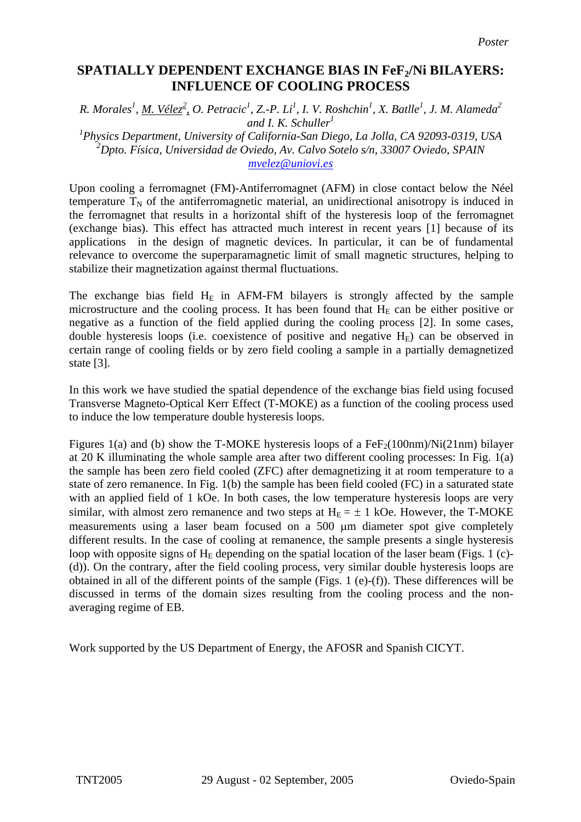## **SPATIALLY DEPENDENT EXCHANGE BIAS IN FeF<sub>2</sub>/Ni BILAYERS: INFLUENCE OF COOLING PROCESS**

*R. Morales<sup>1</sup>, <u>M. Vélez<sup>2</sup></u>, O. Petracic<sup>1</sup>, Z.-P. Li<sup>1</sup>, I. V. Roshchin<sup>1</sup>, X. Batlle<sup>1</sup>, J. M. Alameda<sup>2</sup> and I. K. Schuller<sup>1</sup> 1 Physics Department, University of California-San Diego, La Jolla, CA 92093-0319, USA 2 Dpto. Física, Universidad de Oviedo, Av. Calvo Sotelo s/n, 33007 Oviedo, SPAIN [mvelez@uniovi.es](mailto:mvelez@uniovi.es)*

Upon cooling a ferromagnet (FM)-Antiferromagnet (AFM) in close contact below the Néel temperature  $T_N$  of the antiferromagnetic material, an unidirectional anisotropy is induced in the ferromagnet that results in a horizontal shift of the hysteresis loop of the ferromagnet (exchange bias). This effect has attracted much interest in recent years [1] because of its applications in the design of magnetic devices. In particular, it can be of fundamental relevance to overcome the superparamagnetic limit of small magnetic structures, helping to stabilize their magnetization against thermal fluctuations.

The exchange bias field  $H_E$  in AFM-FM bilayers is strongly affected by the sample microstructure and the cooling process. It has been found that  $H<sub>E</sub>$  can be either positive or negative as a function of the field applied during the cooling process [2]. In some cases, double hysteresis loops (i.e. coexistence of positive and negative  $H<sub>E</sub>$ ) can be observed in certain range of cooling fields or by zero field cooling a sample in a partially demagnetized state [3].

In this work we have studied the spatial dependence of the exchange bias field using focused Transverse Magneto-Optical Kerr Effect (T-MOKE) as a function of the cooling process used to induce the low temperature double hysteresis loops.

Figures 1(a) and (b) show the T-MOKE hysteresis loops of a  $FeF<sub>2</sub>(100nm)/Ni(21nm)$  bilayer at 20 K illuminating the whole sample area after two different cooling processes: In Fig. 1(a) the sample has been zero field cooled (ZFC) after demagnetizing it at room temperature to a state of zero remanence. In Fig. 1(b) the sample has been field cooled (FC) in a saturated state with an applied field of 1 kOe. In both cases, the low temperature hysteresis loops are very similar, with almost zero remanence and two steps at  $H_E = \pm 1$  kOe. However, the T-MOKE measurements using a laser beam focused on a 500 µm diameter spot give completely different results. In the case of cooling at remanence, the sample presents a single hysteresis loop with opposite signs of  $H_F$  depending on the spatial location of the laser beam (Figs. 1 (c)-(d)). On the contrary, after the field cooling process, very similar double hysteresis loops are obtained in all of the different points of the sample (Figs. 1 (e)-(f)). These differences will be discussed in terms of the domain sizes resulting from the cooling process and the nonaveraging regime of EB.

Work supported by the US Department of Energy, the AFOSR and Spanish CICYT.